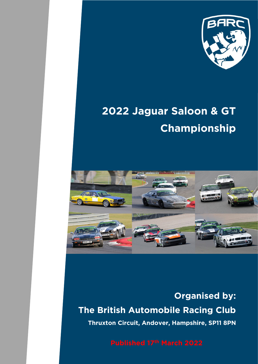

# **2022 Jaguar Saloon & GT Championship**



**Organised by: The British Automobile Racing Club Thruxton Circuit, Andover, Hampshire, SP11 8PN**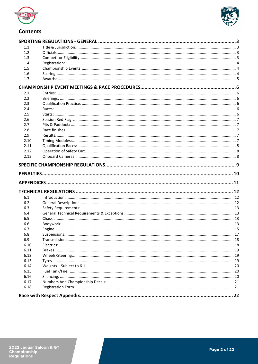



# **Contents**

| 1.1  |  |
|------|--|
| 1.2  |  |
| 1.3  |  |
| 1.4  |  |
| 1.5  |  |
| 1.6  |  |
| 1.7  |  |
|      |  |
| 2.1  |  |
| 2.2  |  |
| 2.3  |  |
| 2.4  |  |
| 2.5  |  |
| 2.6  |  |
| 2.7  |  |
| 2.8  |  |
| 2.9  |  |
| 2.10 |  |
| 2.11 |  |
| 2.12 |  |
| 2.13 |  |
|      |  |
|      |  |
|      |  |
|      |  |
| 6.1  |  |
| 6.2  |  |
| 6.3  |  |
| 6.4  |  |
| 6.5  |  |
| 6.6  |  |
| 6.7  |  |
| 6.8  |  |
| 6.9  |  |
| 6.10 |  |
| 6.11 |  |
| 6.12 |  |
| 6.13 |  |
| 6.14 |  |
| 6.15 |  |
| 6.16 |  |
| 6.17 |  |
| 6.18 |  |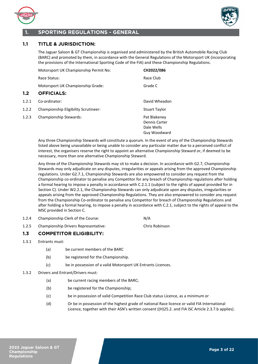

<span id="page-2-2"></span>**1.2 OFFICIALS:**



# <span id="page-2-0"></span>**1. SPORTING REGULATIONS - GENERAL**

# <span id="page-2-1"></span>**1.1 TITLE & JURISDICTION:**

The Jaguar Saloon & GT Championship is organised and administered by the British Automobile Racing Club (BARC) and promoted by them*,* in accordance with the General Regulations of the Motorsport UK (incorporating the provisions of the International Sporting Code of the FIA) and these Championship Regulations.

|       | Motorsport UK Championship Permit No: | CH2022/086                                                  |
|-------|---------------------------------------|-------------------------------------------------------------|
|       | Race Status:                          | Race Club                                                   |
|       | Motorsport UK Championship Grade:     | Grade C                                                     |
| 1.2   | <b>OFFICIALS:</b>                     |                                                             |
| 1.2.1 | Co-ordinator:                         | David Wheadon                                               |
| 1.2.2 | Championship Eligibility Scrutineer:  | <b>Stuart Taylor</b>                                        |
| 1.2.3 | Championship Stewards:                | Pat Blakeney<br>Dennis Carter<br>Dale Wells<br>Guy Woodward |

Any three Championship Stewards will constitute a quorum. In the event of any of the Championship Stewards listed above being unavailable or being unable to consider any particular matter due to a perceived conflict of interest, the organisers reserve the right to appoint an alternative Championship Steward or, if deemed to be necessary, more than one alternative Championship Steward.

Any three of the Championship Stewards may sit to make a decision. In accordance with G2.7, Championship Stewards may only adjudicate on any disputes, irregularities or appeals arising from the approved Championship regulations. Under G2.7.1, Championship Stewards are also empowered to consider any request from the Championship co-ordinator to penalise any Competitor for any breach of Championship regulations after holding a formal hearing to impose a penalty in accordance with C.2.1.1 (subject to the rights of appeal provided for in Section C). Under W2.2.1, the Championship Stewards can only adjudicate upon any disputes, irregularities or appeals arising from the approved Championship Regulations. They are also empowered to consider any request from the Championship Co-ordinator to penalise any Competitor for breach of Championship Regulations and after holding a formal hearing, to impose a penalty in accordance with C.2.1, subject to the rights of appeal to the MSC provided in Section C.

- 1.2.4 Championship Clerk of the Course: N/A
- 1.2.5 Championship Drivers Representative: Chris Robinson

# <span id="page-2-3"></span>**1.3 COMPETITOR ELIGIBILITY:**

- 1.3.1 Entrants must:
	- (a) be current members of the BARC
	- (b) be registered for the Championship.
	- (c) be in possession of a valid Motorsport UK Entrants Licences.
- 1.3.2 Drivers and Entrant/Drivers must:
	- (a) be current racing members of the BARC;
	- (b) be registered for the Championship;
	- (c) be in possession of valid Competition Race Club status Licence, as a minimum or
	- (d) Or be in possession of the highest grade of national Race licence or valid FIA International Licence, together with their ASN's written consent ((H)25.2. and FIA ISC Article 2.3.7.b applies).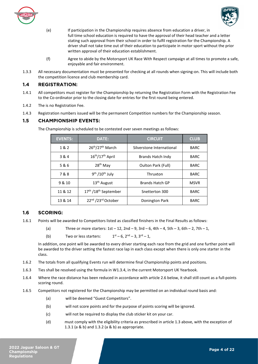



- (e) If participation in the Championship requires absence from education a driver, in full time school education is required to have the approval of their head teacher and a letter stating such approval from their school in order to fulfil registration for the Championship. A driver shall not take time out of their education to participate in motor sport without the prior written approval of their education establishment.
- (f) Agree to abide by the Motorsport UK Race With Respect campaign at all times to promote a safe, enjoyable and fair environment.
- 1.3.3 All necessary documentation must be presented for checking at all rounds when signing-on. This will include both the competition licence and club membership card.

# <span id="page-3-0"></span>**1.4 REGISTRATION:**

- 1.4.1 All competitors must register for the Championship by returning the Registration Form with the Registration Fee to the Co-ordinator prior to the closing date for entries for the first round being entered.
- 1.4.2 The is no Registration Fee.
- 1.4.3 Registration numbers issued will be the permanent Competition numbers for the Championship season.

# <span id="page-3-1"></span>**1.5 CHAMPIONSHIP EVENTS:**

| <b>EVENTS:</b> | <b>DATE:</b>                                 | <b>CIRCUIT</b>            | <b>CLUB</b> |
|----------------|----------------------------------------------|---------------------------|-------------|
| 1 & 2          | 26th/27th March                              | Silverstone International | <b>BARC</b> |
| 3 & 4          | 16 <sup>th</sup> /17 <sup>th</sup> April     | Brands Hatch Indy         | <b>BARC</b> |
| 5 & 6          | 28 <sup>th</sup> May                         | Oulton Park (Full)        | <b>BARC</b> |
| 7&8            | 9 <sup>th</sup> /10 <sup>th</sup> July       | Thruxton                  | <b>BARC</b> |
| 9 & 10         | 13 <sup>th</sup> August                      | <b>Brands Hatch GP</b>    | <b>MSVR</b> |
| 11 & 12        | 17 <sup>th</sup> /18 <sup>th</sup> September | Snetterton 300            | <b>BARC</b> |
| 13 & 14        | 22nd /23rd October                           | Donington Park            | <b>BARC</b> |

The Championship is scheduled to be contested over seven meetings as follows:

# <span id="page-3-2"></span>**1.6 SCORING:**

- 1.6.1 Points will be awarded to Competitors listed as classified finishers in the Final Results as follows:
	- (a) Three or more starters:  $1st 12$ ,  $2nd 9$ ,  $3rd 6$ ,  $4th 4$ ,  $5th 3$ ,  $6th 2$ ,  $7th 1$ ,
	- (b) Two or less starters:  $1^{st} 6$ ,  $2^{nd} 3$ ,  $3^{rd} 1$ ,

In addition, one point will be awarded to every driver starting each race from the grid and one further point will be awarded to the driver setting the fastest race lap in each class except when there is only one starter in the class.

- 1.6.2 The totals from all qualifying Events run will determine final Championship points and positions.
- 1.6.3 Ties shall be resolved using the formula in W1.3.4, in the current Motorsport UK Yearbook.
- 1.6.4 Where the race distance has been reduced in accordance with article 2.6 below, it shall still count as a full-points scoring round.
- 1.6.5 Competitors not registered for the Championship may be permitted on an individual round basis and:
	- (a) will be deemed "Guest Competitors".
	- (b) will not score points and for the purpose of points scoring will be ignored.
	- (c) will not be required to display the club sticker kit on your car.
	- (d) must comply with the eligibility criteria as prescribed in article 1.3 above, with the exception of 1.3.1 (a & b) and 1.3.2 (a & b) as appropriate.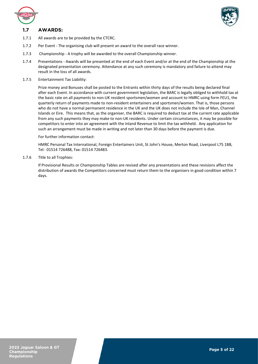

<span id="page-4-0"></span>



- 1.7.1 All awards are to be provided by the CTCRC.
- 1.7.2 Per Event The organising club will present an award to the overall race winner.
- 1.7.3 Championship A trophy will be awarded to the overall Championship winner.
- 1.7.4 Presentations Awards will be presented at the end of each Event and/or at the end of the Championship at the designated presentation ceremony. Attendance at any such ceremony is mandatory and failure to attend may result in the loss of all awards.
- 1.7.5 Entertainment Tax Liability:

Prize money and Bonuses shall be posted to the Entrants within thirty days of the results being declared final after each Event. In accordance with current government legislation, the BARC is legally obliged to withhold tax at the basic rate on all payments to non-UK resident sportsmen/women and account to HMRC using form FEU1, the quarterly return of payments made to non-resident entertainers and sportsmen/women. That is, those persons who do not have a normal permanent residence in the UK and the UK does not include the Isle of Man, Channel Islands or Eire. This means that, as the organiser, the BARC is required to deduct tax at the current rate applicable from any such payments they may make to non-UK residents. Under certain circumstances, it may be possible for competitors to enter into an agreement with the Inland Revenue to limit the tax withheld. Any application for such an arrangement must be made in writing and not later than 30 days before the payment is due.

#### For further information contact:

HMRC Personal Tax International, Foreign Entertainers Unit, St John's House, Merton Road, Liverpool L75 1BB, Tel: 01514 726488, Fax: 01514 726483.

1.7.6 Title to all Trophies:

If Provisional Results or Championship Tables are revised after any presentations and these revisions affect the distribution of awards the Competitors concerned must return them to the organisers in good condition within 7 days.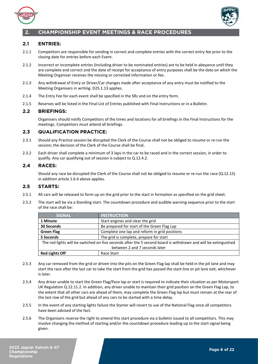



# <span id="page-5-0"></span>**2. CHAMPIONSHIP EVENT MEETINGS & RACE PROCEDURES**

# <span id="page-5-1"></span>**2.1 ENTRIES:**

- 2.1.1 Competitors are responsible for sending in correct and complete entries with the correct entry fee prior to the closing date for entries before each Event.
- 2.1.2 Incorrect or incomplete entries (Including driver to be nominated entries) are to be held in abeyance until they are complete and correct and the date of receipt for acceptance of entry purposes shall be the date on which the Meeting Organiser receives the missing or corrected information or fee.
- 2.1.3 Any withdrawal of Entry or Driver/Car changes made after acceptance of any entry must be notified to the Meeting Organisers in writing. D25.1.13 applies.
- 2.1.4 The Entry Fee for each event shall be specified in the SRs and on the entry form.
- 2.1.5 Reserves will be listed in the Final List of Entries published with Final Instructions or in a Bulletin.

# <span id="page-5-2"></span>**2.2 BRIEFINGS:**

Organisers should notify Competitors of the times and locations for all briefings in the Final Instructions for the meetings. Competitors must attend all briefings.

# <span id="page-5-3"></span>**2.3 QUALIFICATION PRACTICE:**

- 2.3.1 Should any Practice session be disrupted the Clerk of the Course shall not be obliged to resume or re-run the session; the decision of the Clerk of the Course shall be final.
- 2.3.2 Each driver shall complete a minimum of 3 laps in the car to be raced and in the correct session, in order to qualify. Any car qualifying out of session is subject to Q.12.4.2.

# <span id="page-5-4"></span>**2.4 RACES:**

 Should any race be disrupted the Clerk of the Course shall not be obliged to resume or re-run the race (Q.12.15) in addition article 1.6.4 above applies.

# <span id="page-5-5"></span>**2.5 STARTS:**

- 2.5.1 All cars will be released to form up on the grid prior to the start in formation as specified on the grid sheet.
- 2.5.2 The start will be via a Standing start. The countdown procedure and audible warning sequence prior to the start of the race shall be:

| <b>SIGNAL</b>                                                                                                  | <b>INSTRUCTION</b>                      |  |
|----------------------------------------------------------------------------------------------------------------|-----------------------------------------|--|
| 1 Minute                                                                                                       | Start engines and clear the grid        |  |
| Be prepared for start of the Green Flag Lap<br>30 Seconds                                                      |                                         |  |
| Complete one lap and reform in grid positions<br><b>Green Flag</b>                                             |                                         |  |
| 5 Seconds                                                                                                      | The grid is complete, prepare for start |  |
| The red lights will be switched on five seconds after the 5 second board is withdrawn and will be extinguished |                                         |  |
| between 2 and 7 seconds later                                                                                  |                                         |  |
| <b>Red Lights Off</b>                                                                                          | Race Start                              |  |

- 2.5.3 Any car removed from the grid or driven into the pits on the Green Flag lap shall be held in the pit lane and may start the race after the last car to take the start from the grid has passed the start-line or pit lane exit, whichever is later.
- 2.5.4 Any driver unable to start the Green Flag/Pace lap or start is required to indicate their situation as per Motorsport UK Regulation Q.12.11.2. In addition, any driver unable to maintain their grid position on the Green Flag Lap, to the extent that all other cars are ahead of them, may complete the Green Flag lap but must remain at the rear of the last row of the grid but ahead of any cars to be started with a time delay.
- 2.5.5 In the event of any starting lights failure the Starter will revert to use of the National Flag once all competitors have been advised of the fact.
- 2.5.6 The Organisers reserve the right to amend this start procedure via a bulletin issued to all competitors. This may involve changing the method of starting and/or the countdown procedure leading up to the start signal being given.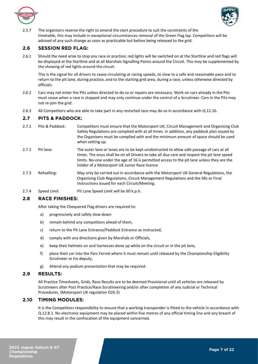



2.5.7 The organisers reserve the right to amend the start procedure to suit the constraints of the timetable, this may include in exceptional circumstances removal of the Green Flag lap. Competitors will be advised of any such change as soon as practicable but before being released to the grid.

# <span id="page-6-0"></span>**2.6 SESSION RED FLAG:**

2.6.1 Should the need arise to stop any race or practice; red lights will be switched on at the Startline and red flags will be displayed at the Startline and at all Marshals Signalling Points around the Circuit. This may be supplemented by the showing of red lights around the circuit.

This is the signal for all drivers to cease circulating at racing speeds, to slow to a safe and reasonable pace and to return to the pit lane, during practice, and to the starting grid area, during a race, unless otherwise directed by officials.

- 2.6.2 Cars may not enter the Pits unless directed to do so or repairs are necessary. Work on cars already in the Pits must cease when a race is stopped and may only continue under the control of a Scrutineer. Cars in the Pits may not re-join the grid.
- 2.6.3 All Competitors who are able to take part in any restarted race may do so in accordance with Q.12.16.

# <span id="page-6-1"></span>**2.7 PITS & PADDOCK:**

- 2.7.1 Pits & Paddock: Competitors must ensure that the Motorsport UK, Circuit Management and Organising Club Safety Regulations are complied with at all times. In addition, any paddock plan issued by the Organisers must be complied with and the minimum amount of space should be used when setting up.
- 2.7.2 Pit lane: The outer lane or lanes are to be kept unobstructed to allow safe passage of cars at all times. The onus shall be on all Drivers to take all due care and respect the pit lane speed limits. No-one under the age of 16 is permitted access to the pit lane unless they are the holder of a Motorsport UK Junior Race licence
- 2.7.3 Refuelling: May only be carried out in accordance with the Motorsport UK General Regulations, the Organising Club Regulations, Circuit Management Regulations and the SRs or Final Instructions issued for each Circuit/Meeting.
- 2.7.4 Speed Limit Pit Lane Speed Limit will be 60 k.p.h.

# <span id="page-6-2"></span>**2.8 RACE FINISHES:**

After taking the Chequered Flag drivers are required to:

- a) progressively and safely slow down
- b) remain behind any competitors ahead of them,
- c) return to the Pit Lane Entrance/Paddock Entrance as instructed,
- d) comply with any directions given by Marshals or Officials,
- e) keep their helmets on and harnesses done up while on the circuit or in the pit lane,
- f) place their car into the Parc Fermé where it must remain until released by the Championship Eligibility Scrutineer or his deputy,
- g) Attend any podium presentation that may be required.

# <span id="page-6-3"></span>**2.9 RESULTS:**

All Practice Timesheets, Grids, Race Results are to be deemed Provisional until all vehicles are released by Scrutineers after Post Practice/Race Scrutineering and/or after completion of any Judicial or Technical Procedures. (Motorsport UK regulation D26.3)

# <span id="page-6-4"></span>**2.10 TIMING MODULES:**

It is the Competitors responsibility to ensure that a working transponder is fitted to the vehicle in accordance with Q.12.8.1. No electronic equipment may be placed within five metres of any official timing line and any breach of this may result in the confiscation of the equipment concerned.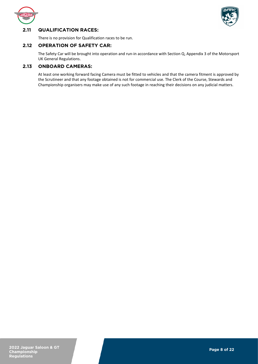



# <span id="page-7-0"></span>**2.11 QUALIFICATION RACES:**

There is no provision for Qualification races to be run.

# <span id="page-7-1"></span>**2.12 OPERATION OF SAFETY CAR:**

The Safety Car will be brought into operation and run-in accordance with Section Q, Appendix 3 of the Motorsport UK General Regulations.

# <span id="page-7-2"></span>**2.13 ONBOARD CAMERAS:**

At least one working forward facing Camera must be fitted to vehicles and that the camera fitment is approved by the Scrutineer and that any footage obtained is not for commercial use. The Clerk of the Course, Stewards and Championship organisers may make use of any such footage in reaching their decisions on any judicial matters.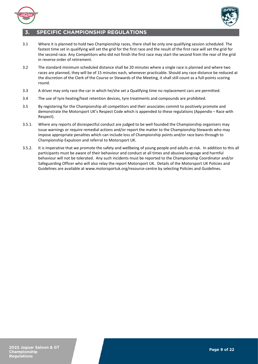



# <span id="page-8-0"></span>**3. SPECIFIC CHAMPIONSHIP REGULATIONS**

- 3.1 Where it is planned to hold two Championship races, there shall be only one qualifying session scheduled. The fastest time set in qualifying will set the grid for the first race and the result of the first race will set the grid for the second race. Any Competitors who did not finish the first race may start the second from the rear of the grid in reverse order of retirement.
- 3.2 The standard minimum scheduled distance shall be 20 minutes where a single race is planned and where two races are planned, they will be of 15 minutes each, whenever practicable. Should any race distance be reduced at the discretion of the Clerk of the Course or Stewards of the Meeting, it shall still count as a full-points scoring round.
- 3.3 A driver may only race the car in which he/she set a Qualifying time no replacement cars are permitted.
- 3.4 The use of tyre heating/heat retention devices, tyre treatments and compounds are prohibited.
- 3.5 By registering for the Championship all competitors and their associates commit to positively promote and demonstrate the Motorsport UK's Respect Code which is appended to these regulations (Appendix – Race with Respect).
- 3.5.1. Where any reports of disrespectful conduct are judged to be well founded the Championship organisers may issue warnings or require remedial actions and/or report the matter to the Championship Stewards who may impose appropriate penalties which can include loss of Championship points and/or race bans through to Championship Expulsion and referral to Motorsport UK.
- 3.5.2. It is imperative that we promote the safety and wellbeing of young people and adults at risk. In addition to this all participants must be aware of their behaviour and conduct at all times and abusive language and harmful behaviour will not be tolerated. Any such incidents must be reported to the Championship Coordinator and/or Safeguarding Officer who will also relay the report Motorsport UK. Details of the Motorsport UK Policies and Guidelines are available at www.motorsportuk.org/resource-centre by selecting Policies and Guidelines.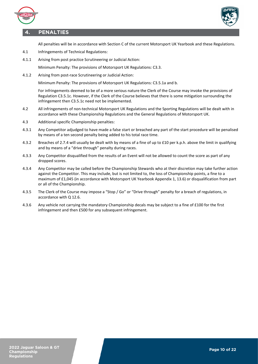



# **4. PENALTIES**

<span id="page-9-0"></span>All penalties will be in accordance with Section C of the current Motorsport UK Yearbook and these Regulations.

- 4.1 Infringements of Technical Regulations:
- 4.1.1 Arising from post practice Scrutineering or Judicial Action:

Minimum Penalty: The provisions of Motorsport UK Regulations: C3.3.

4.1.2 Arising from post-race Scrutineering or Judicial Action:

Minimum Penalty: The provisions of Motorsport UK Regulations: C3.5.1a and b.

For infringements deemed to be of a more serious nature the Clerk of the Course may invoke the provisions of Regulation C3.5.1c. However, if the Clerk of the Course believes that there is some mitigation surrounding the infringement then C3.5.1c need not be implemented.

- 4.2 All infringements of non-technical Motorsport UK Regulations and the Sporting Regulations will be dealt with in accordance with these Championship Regulations and the General Regulations of Motorsport UK.
- 4.3 Additional specific Championship penalties:
- 4.3.1 Any Competitor adjudged to have made a false start or breached any part of the start procedure will be penalised by means of a ten second penalty being added to his total race time.
- 4.3.2 Breaches of 2.7.4 will usually be dealt with by means of a fine of up to £10 per k.p.h. above the limit in qualifying and by means of a "drive through" penalty during races.
- 4.3.3 Any Competitor disqualified from the results of an Event will not be allowed to count the score as part of any dropped scores.
- 4.3.4 Any Competitor may be called before the Championship Stewards who at their discretion may take further action against the Competitor. This may include, but is not limited to, the loss of Championship points, a fine to a maximum of £1,045 (in accordance with Motorsport UK Yearbook Appendix 1, 13.6) or disqualification from part or all of the Championship.
- 4.3.5 The Clerk of the Course may impose a "Stop / Go" or "Drive through" penalty for a breach of regulations, in accordance with Q 12.6.
- 4.3.6 Any vehicle not carrying the mandatory Championship decals may be subject to a fine of £100 for the first infringement and then £500 for any subsequent infringement.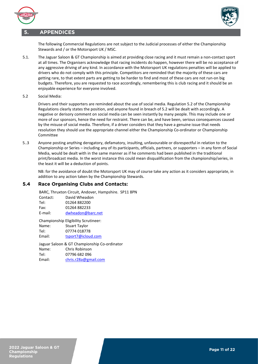

# **5. APPENDICES**



<span id="page-10-0"></span> The following Commercial Regulations are not subject to the Judicial processes of either the Championship Stewards and / or the Motorsport UK / MSC.

- 5.1. The Jaguar Saloon & GT Championship is aimed at providing close racing and it must remain a non-contact sport at all times. The Organisers acknowledge that racing incidents do happen, however there will be no acceptance of any aggressive driving of any kind. In accordance with the Motorsport UK regulations penalties will be applied to drivers who do not comply with this principle. Competitors are reminded that the majority of these cars are getting rare, to that extent parts are getting to be harder to find and most of these cars are not run-on big budgets. Therefore, you are requested to race accordingly, remembering this is club racing and it should be an enjoyable experience for everyone involved.
- 5.2 Social Media:

Drivers and their supporters are reminded about the use of social media. Regulation 5.2 of the Championship Regulations clearly states the position, and anyone found in breach of 5.2 will be dealt with accordingly. A negative or derisory comment on social media can be seen instantly by many people. This may include one or more of our sponsors, hence the need for restraint. There can be, and have been, serious consequences caused by the misuse of social media. Therefore, if a driver considers that they have a genuine issue that needs resolution they should use the appropriate channel either the Championship Co-ordinator or Championship Committee

5..3 Anyone posting anything derogatory, defamatory, insulting, unfavourable or disrespectful in relation to the Championship or Series – including any of its participants, officials, partners, or supporters – in any form of Social Media, would be dealt with in the same manner as if he comments had been published in the traditional print/broadcast media. In the worst instance this could mean disqualification from the championship/series, in the least it will be a deduction of points.

NB: for the avoidance of doubt the Motorsport UK may of course take any action as it considers appropriate, in addition to any action taken by the Championship Stewards.

# **5.4 Race Organising Clubs and Contacts:**

BARC, Thruxton Circuit, Andover, Hampshire. SP11 8PN Contact: David Wheadon Tel: 01264 882200 Fax: 01264 882233

E-mail: [dwheadon@barc.net](mailto:dwheadon@barc.net) 

Championship Eligibility Scrutineer: Name: Stuart Taylor Tel: 07774 018778 Email: [tsport7@icloud.com](mailto:tsport7@icloud.com) 

Jaguar Saloon & GT Championship Co-ordinator Name: Chris Robinson Tel: 07796 682 096 Email: [chris.r28a@gmail.com](mailto:chris.r28a@gmail.com)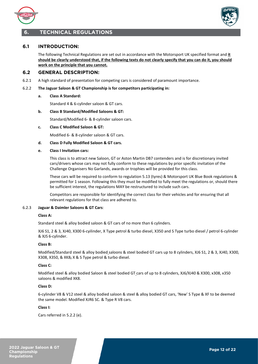



# <span id="page-11-0"></span>**6. TECHNICAL REGULATIONS**

# <span id="page-11-1"></span>**6.1 INTRODUCTION:**

The following Technical Regulations are set out in accordance with the Motorsport UK specified format and **it should be clearly understood that, if the following texts do not clearly specify that you can do it, you should work on the principle that you cannot.**

# <span id="page-11-2"></span>**6.2 GENERAL DESCRIPTION:**

6.2.1 A high standard of presentation for competing cars is considered of paramount importance.

#### 6.2.2 **The Jaguar Saloon & GT Championship is for competitors participating in:**

#### **a. Class A Standard:**

Standard 4 & 6-cylinder saloon & GT cars.

#### **b. Class B Standard/Modified Saloons & GT:**

Standard/Modified 6- & 8-cylinder saloon cars.

**c. Class C Modified Saloon & GT:** 

Modified 6- & 8-cylinder saloon & GT cars.

#### **d. Class D Fully Modified Saloon & GT cars.**

#### **e. Class I Invitation cars:**

This class is to attract new Saloon, GT or Aston Martin DB7 contenders and is for discretionary invited cars/drivers whose cars may not fully conform to these regulations by prior specific invitation of the Challenge Organisers No Garlands, awards or trophies will be provided for this class.

These cars will be required to conform to regulation 5.13 (tyres) & Motorsport UK Blue Book regulations & permitted for 1 season. Following this they must be modified to fully meet the regulations or, should there be sufficient interest, the regulations MAY be restructured to include such cars.

Competitors are responsible for identifying the correct class for their vehicles and for ensuring that all relevant regulations for that class are adhered to.

#### 6.2.3 **Jaguar & Daimler Saloons & GT Cars**:

# **Class A:**

Standard steel & alloy bodied saloon & GT cars of no more than 6 cylinders.

XJ6 S1, 2 & 3, XJ40, X300 6-cyilinder, X Type petrol & turbo diesel, X350 and S Type turbo diesel / petrol 6-cylinder & XJS 6-cylinder.

#### **Class B:**

Modified/Standard steel & alloy bodied saloons & steel bodied GT cars up to 8 cylinders, XJ6 S1, 2 & 3, XJ40, X300, X308, X350, & XK8, X & S Type petrol & turbo diesel.

#### **Class C:**

Modified steel & alloy bodied Saloon & steel bodied GT cars of up to 8 cylinders, XJ6/XJ40 & X300, x308, x350 saloons & modified XK8.

#### **Class D:**

6-cylinder V8 & V12 steel & alloy bodied saloon & steel & alloy bodied GT cars, 'New' S Type & XF to be deemed the same model. Modified XJR6 SC. & Type R V8 cars.

#### **Class I:**

Cars referred in 5.2.2 (e).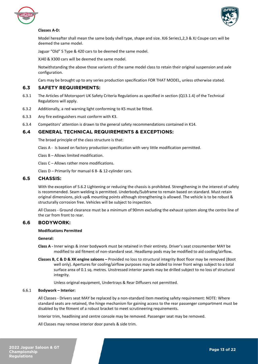



#### **Classes A-D:**

Model hereafter shall mean the same body shell type, shape and size. XJ6 Series1,2,3 & XJ Coupe cars will be deemed the same model.

Jaguar "Old" S Type & 420 cars to be deemed the same model.

XJ40 & X300 cars will be deemed the same model.

Notwithstanding the above those variants of the same model class to retain their original suspension and axle configuration.

Cars may be brought up to any series production specification FOR THAT MODEL, unless otherwise stated.

## <span id="page-12-0"></span>**6.3 SAFETY REQUIREMENTS:**

- 6.3.1 The Articles of Motorsport UK Safety Criteria Regulations as specified in section (Q13.1.4) of the Technical Regulations will apply.
- 6.3.2 Additionally, a red warning light conforming to K5 must be fitted.
- 6.3.3 Any fire extinguishers must conform with K3.
- 6.3.4 Competitors' attention is drawn to the general safety recommendations contained in K14.

# <span id="page-12-1"></span>**6.4 GENERAL TECHNICAL REQUIREMENTS & EXCEPTIONS:**

The broad principle of the class structure is that:

- Class A Is based on factory production specification with very little modification permitted.
- Class B Allows limited modification.

Class C – Allows rather more modifications.

Class D – Primarily for manual 6 8- & 12-cylinder cars.

## <span id="page-12-2"></span>**6.5 CHASSIS:**

With the exception of 5.6.2 Lightening or reducing the chassis is prohibited. Strengthening in the interest of safety is recommended. Seam welding is permitted. Underbody/Subframe to remain based on standard. Must retain original dimensions, pick up& mounting points although strengthening is allowed. The vehicle is to be robust & structurally corrosion free. Vehicles will be subject to inspection.

All Classes - Ground clearance must be a minimum of 90mm excluding the exhaust system along the centre line of the car from front to rear.

# <span id="page-12-3"></span>**6.6 BODYWORK:**

#### **Modifications Permitted**

#### **General:**

- **Class A -** Inner wings & inner bodywork must be retained in their entirety. Driver's seat crossmember MAY be modified to aid fitment of non-standard seat. Headlamp pods may be modified to aid cooling/airflow**.**
- **Classes B, C & D & XK engine saloons –** Provided no loss to structural integrity Boot floor may be removed (Boot well only). Apertures for cooling/airflow purposes may be added to inner front wings subject to a total surface area of 0.1 sq. metres. Unstressed interior panels may be drilled subject to no loss of structural integrity.

Unless original equipment, Undertrays & Rear Diffusers not permitted.

#### 6.6.1 **Bodywork – Interior:**

All Classes - Drivers seat MAY be replaced by a non-standard item meeting safety requirement: NOTE: Where standard seats are retained, the hinge mechanism for gaining access to the rear passenger compartment must be disabled by the fitment of a robust bracket to meet scrutineering requirements.

Interior trim, headlining and centre console may be removed. Passenger seat may be removed.

All Classes may remove interior door panels & side trim.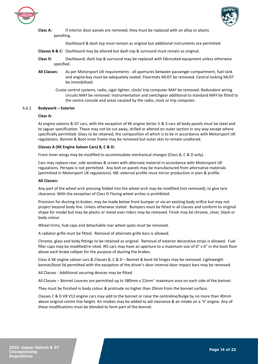



**Class A:** If interior door panels are removed, they must be replaced with an alloy or plastic panelling.

Dashboard & dash top must remain as original but additional instruments are permitted.

- **Classes B & C:** Dashboard may be altered but dash top & surround must remain as original.
- **Class D**: Dashboard, dash top & surround may be replaced with fabricated equipment unless otherwise specified.
- **All Classes:** As per Motorsport UK requirements all apertures between passenger compartment, fuel tank and engine-bay must be adequately sealed. Floormats MUST be removed. Central locking MUST be immobilised.
	- Cruise control systems, radio, cigar lighter, clock/ trip computer MAY be removed. Redundant wiring circuits MAY be removed. Instrumentation and switchgear additional to standard MAY be fitted to the centre console and areas vacated by the radio, clock or trip computer.

#### 6.6.2 **Bodywork – Exterior**

#### **Class A:**

AJ engine saloons & GT cars, with the exception of XK engine Series  $\frac{1}{2}$  & 3 cars all body panels must be steel and to Jaguar specification. These may not be cut away, drilled or altered on outer section in any way except where specifically permitted. Glass to be retained, the composition of which is to be in accordance with Motorsport UK regulations. Bonnet & Boot inner frame may be removed but outer skin to remain unaltered.

#### **Classes A (XK Engine Saloon Cars) B, C & D:**

Front Inner wings may be modified to accommodate mechanical changes (Class B, C & D only).

 Cars may replace rear, side windows & screen with alternate material in accordance with Motorsport UK regulations. Perspex is not permitted. Any bolt on panels may be manufactured from alternative materials (permitted in Motorsport UK regulations). NB: external profile must mirror production in plan & profile.

#### **All Classes:**

Any part of the wheel arch pressing folded into the wheel arch may be modified (not removed); to give tyre clearance. With the exception of Class D Flaring wheel arches is prohibited.

Provision for ducting to brakes. may be made below front bumper or via an existing body orifice but may not project beyond body line. Unless otherwise stated Bumpers must be fitted in all classes and conform to original shape for model but may be plastic or metal over-riders may be removed. Finish may be chrome, silver, black or body colour.

Wheel trims, hub caps and detachable rear wheel spats must be removed.

A radiator grille must be fitted. Removal of alternate grille bars is allowed.

Chrome, glass and body fittings to be retained as original. Removal of exterior decorative strips is allowed. Fuel filler caps may be modified/re-sited. IRS cars may have an aperture to a maximum size of 6" x 6" in the boot floor above each brake calliper for the purpose of ducting the brakes.

Class A XK engine saloon cars & Classes B, C & D – Bonnet & boot lid hinges may be removed. Lightweight bonnet/boot lid permitted with the exception of the driver's door internal door impact bars may be removed.

All Classes - Additional securing devices may be fitted.

All Classes – Bonnet Louvres are permitted up to 380mm x 22mm" maximum area on each side of the bonnet.

They must be finished in body colour & protrude no higher than 20mm from the bonnet surface.

Classes C & D V8 V12 engine cars may add to the bonnet or raise the centreline/bulge by no more than 40mm above original centre line height. Air intakes may be added to aid clearance & air intake on a 'V' engine. Any of these modifications must be blended to form part of the bonnet.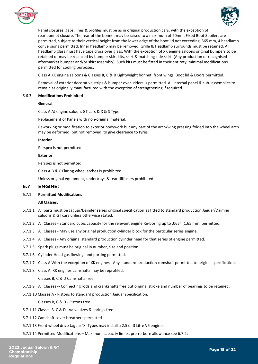



Panel closures, gaps, lines & profiles must be as in original production cars, with the exception of rear bonnet closure. The rear of the bonnet may be raised to a maximum of 20mm. Fixed Boot Spoilers are permitted, subject to their vertical height from the lower edge of the boot lid not exceeding 365 mm, 4 headlamp conversions permitted. Inner headlamp may be removed. Grille & Headlamp surrounds must be retained. All headlamp glass must have tape cross over glass. With the exception of XK engine saloons original bumpers to be retained or may be replaced by bumper skirt kits, skirt & matching side skirt. (Any production or recognised aftermarket bumper and/or skirt assembly). Such kits must be fitted in their entirety, minimal modifications permitted for cooling purposes.

Class A XK engine saloons **&** Classes **B, C & D** Lightweight bonnet, front wings, Boot lid & Doors permitted.

Removal of exterior decorative strips & bumper over- riders is permitted. All internal panel & sub- assemblies to remain as originally manufactured with the exception of strengthening if required.

#### 6.6.3 **Modifications Prohibited**

#### **General:**

Class A AJ engine saloon, GT cars & X & S Type:

Replacement of Panels with non-original material.

Reworking or modification to exterior bodywork but any part of the arch/wing pressing folded into the wheel arch may be deformed, but not removed. to give clearance to tyres.

#### **Interior**

Perspex is not permitted.

#### **Exterior**

Perspex is not permitted.

Class A.B & C Flaring wheel arches is prohibited.

Unless original equipment, undertrays & rear diffusers prohibited.

## <span id="page-14-0"></span>**6.7 ENGINE:**

#### 6.7.1 **Permitted Modifications**

#### **All Classes:**

- 6.7.1.1 All parts must be Jaguar/Daimler series original specification as fitted to standard production Jaguar/Daimler saloons & GT cars unless otherwise stated.
- 6.7.1.2 All Classes Standard cubic capacity for the relevant engine Re-boring up to .065" (1.65 mm) permitted.
- 6.7.1.3 All Classes May use any original production cylinder block for the particular series engine.
- 6.7.1.4 All Classes Any original standard production cylinder head for that series of engine permitted.
- 6.7.1.5 Spark plugs must be original in number, size and position.
- 6.7.1.6 Cylinder Head gas flowing, and porting permitted.
- 6.7.1.7 Class A With the exception of XK engines Any standard production camshaft permitted to original specification.
- 6.7.1.8 Class A. XK engines camshafts may be reprofiled.

#### Classes B, C & D Camshafts free.

- 6.7.1.9 All Classes -- Connecting rods and crankshafts free but original stroke and number of bearings to be retained.
- 6.7.1.10 Classes A Pistons to standard production Jaguar specification.

Classes B, C & D - Pistons free.

- 6.7.1.11 Classes B, C & D– Valve sizes & springs free.
- 6.7.1.12 Camshaft cover breathers permitted.
- 6.7.1.13 Front wheel drive Jaguar 'X' Types may install a 2.5 or 3 Litre V6 engine.
- 6.7.1.14 Permitted Modifications Maximum capacity limits, pre-re-bore allowance see 6.7.2: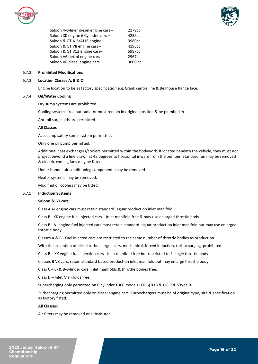



Saloon 4-cyliner diesel engine cars - 2179cc Saloon XK engine 6 Cylinder cars - 4235cc Saloon & GT AJ6/AJ16 engine – 3980cc Saloon & GT V8 engine cars – 4196cc Saloon & GT V12 engine cars-<br>5997cc Saloon V6 petrol engine cars - 2967cc Saloon V6 diesel engine cars – 3000 cc

#### 6.7.2 **Prohibited Modifications**

#### 6.7.3 **Location Classes A, B & C**

Engine location to be as factory specification e.g. Crank centre line & Bellhouse flange face.

#### 6.7.4 **Oil/Water Cooling**

Dry sump systems are prohibited.

Cooling systems free but radiator must remain in original position & be plumbed in.

Anti-oil surge aids are permitted.

#### **All Classes**

Accusump safety sump system permitted.

Only one oil pump permitted.

Additional heat exchangers/coolers permitted within the bodywork. If located beneath the vehicle, they must not project beyond a line drawn at 45 degrees to horizontal inward from the bumper. Standard fan may be removed & electric cooling fans may be fitted.

Under bonnet air conditioning components may be removed.

Heater systems may be removed.

Modified oil coolers may be fitted.

#### 6.7.5 **Induction Systems**

#### **Saloon & GT cars:**

Class A AJ engine cars must retain standard Jaguar production inlet manifold.

Class B - XK engine fuel injected cars – Inlet manifold free & may use enlarged throttle body.

Class B - AJ engine fuel injected cars must retain standard Jaguar production inlet manifold but may use enlarged throttle body.

Classes A & B - Fuel injected cars are restricted to the same number of throttle bodies as production.

With the exception of diesel turbocharged cars, mechanical, forced induction, turbocharging, prohibited.

Class B – XK engine fuel injection cars - Inlet manifold free but restricted to 1 single throttle body.

Classes B V8 cars: retain standard based production inlet manifold but may enlarge throttle body.

Class C – 6- & 8-cylinder cars: Inlet manifolds & throttle bodies free.

Class D – Inlet Manifolds free.

Supercharging only permitted on 6-cylinder X300 models (XJR6) XK8 & XJ8 R & S'type R.

Turbocharging permitted only on diesel engine cars. Turbochargers must be of original type, size & specification as factory fitted.

#### **All Classes:**

Air filters may be removed or substituted.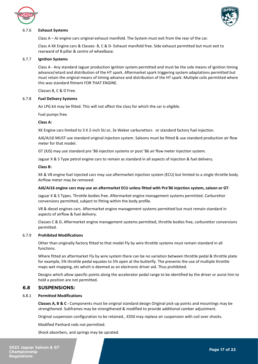



#### 6.7.6 **Exhaust Systems**

Class A – AJ engine cars original exhaust manifold. The System must exit from the rear of the car.

Class A XK Engine cars & Classes- B, C & D- Exhaust manifold free. Side exhaust permitted but must exit to rearward of B pillar & centre of wheelbase.

#### 6.7.7 **Ignition Systems**

Class A - Any standard Jaguar production ignition system permitted and must be the sole means of ignition timing advance/retard and distribution of the HT spark. Aftermarket spark triggering system adaptations permitted but must retain the original means of timing advance and distribution of the HT spark. Multiple coils permitted where this was standard fitment FOR THAT ENGINE.

Classes B, C & D Free.

#### 6.7.8 **Fuel Delivery Systems**

An LPG kit may be fitted. This will not affect the class for which the car is eligible.

Fuel pumps free.

#### **Class A:**

XK Engine cars limited to 3 X 2-inch SU or, 3x Weber carburettors or standard factory fuel injection.

AJ6/AJ16 MUST use standard original injection system. Saloons must be fitted & use standard production air flow meter for that model.

GT (XJS) may use standard pre '86 injection systems or post '86 air flow meter injection system.

Jaguar X & S Type petrol engine cars to remain as standard in all aspects of injection & fuel delivery.

#### **Class B:**

XK & V8 engine fuel injected cars may use aftermarket injection system (ECU) but limited to a single throttle body. Airflow meter may be removed.

#### **AJ6/AJ16 engine cars may use an aftermarket ECU unless fitted with Pre'86 injection system, saloon or GT**:

Jaguar X & S Types. Throttle bodies free. Aftermarket engine management systems permitted. Carburettor conversions permitted, subject to fitting within the body profile.

V8 & diesel engines cars. Aftermarket engine management systems permitted but must remain standard in aspects of airflow & fuel delivery.

Classes C & D, Aftermarket engine management systems permitted, throttle bodies free, carburettor conversions permitted.

#### 6.7.9 **Prohibited Modifications**

Other than originally factory fitted to that model Fly by wire throttle systems must remain standard in all functions.

Where fitted an aftermarket Fly by wire system there can be no variation between throttle pedal & throttle plate for example, 5% throttle pedal equates to 5% open at the butterfly. The prevents the use of multiple throttle maps wet mapping, etc which is deemed as an electronic driver aid. Thus prohibited.

Designs which allow specific points along the accelerator pedal range to be identified by the driver or assist him to hold a position are not permitted.

# <span id="page-16-0"></span>**6.8 SUSPENSIONS:**

#### 6.8.1 **Permitted Modifications**

**Classes A, B & C -** Components must be original standard design Original pick-up points and mountings may be strengthened. Subframes may be strengthened & modified to provide additional camber adjustment.

Original suspension configuration to be retained., X350 may replace air suspension with coil over shocks.

Modified Panhard rods not permitted.

Shock absorbers, and springs may be uprated.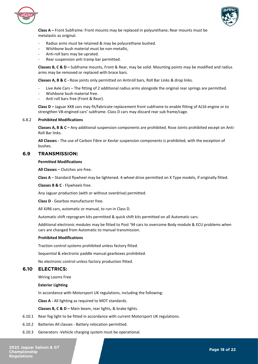



**Class A –** Front Subframe: Front mounts may be replaced in polyurethane; Rear mounts must be metalastic as original.

- Radius arms must be retained & may be polyurethane bushed.
- Wishbone bush material must be non-metallic,
- Anti-roll bars may be uprated.
- Rear suspension anti tramp bar permitted.

**Classes B, C & D –** Subframe mounts, Front & Rear, may be solid. Mounting points may be modified and radius arms may be removed or replaced with brace bars.

**Classes A, B & C -** Rose joints only permitted on Antiroll bars, Roll Bar Links & drop links.

- Live Axle Cars The fitting of 2 additional radius arms alongside the original rear springs are permitted.
- Wishbone bush material free.
- Anti roll bars free (Front & Rear).

**Class D –** Jaguar XK8 cars may fit/fabricate replacement front subframe to enable fitting of AJ16 engine or to strengthen V8-engined cars' subframe. Class D cars may discard rear sub frame/cage.

#### 6.8.2 **Prohibited Modifications**

**Classes A, B & C –** Any additional suspension components are prohibited. Rose Joints prohibited except on Anti-Roll Bar links.

**All Classes -** The use of Carbon Fibre or Kevlar suspension components is prohibited, with the exception of bushes.

# <span id="page-17-0"></span>**6.9 TRANSMISSION:**

#### **Permitted Modifications**

**All Classes** – Clutches are free.

**Class A** – Standard flywheel may be lightened. 4-wheel drive permitted on X Type models, if originally fitted.

**Classes B & C** - Flywheels free.

Any Jaguar production (with or without overdrive) permitted.

**Class D** - Gearbox manufacturer free.

All XJR6 cars, automatic or manual, to run in Class D.

Automatic shift reprogram kits permitted & quick shift kits permitted on all Automatic cars.

Additional electronic modules may be fitted to Post '94 cars to overcome Body module & ECU problems when cars are changed from Automatic to manual transmission.

#### **Prohibited Modifications**

Traction control systems prohibited unless factory fitted.

Sequential & electronic paddle manual gearboxes prohibited.

No electronic control unless factory production fitted.

# <span id="page-17-1"></span>**6.10 ELECTRICS:**

Wiring Looms Free

#### **Exterior Lighting**

In accordance with Motorsport UK regulations, including the following:

**Class A -** All lighting as required to MOT standards.

**Classes B, C & D –** Main beam, rear lights, & brake lights.

- 6.10.1 Rear fog light to be fitted in accordance with current Motorsport UK regulations.
- 6.10.2 Batteries All classes Battery relocation permitted.
- 6.10.3 Generators -Vehicle charging system must be operational.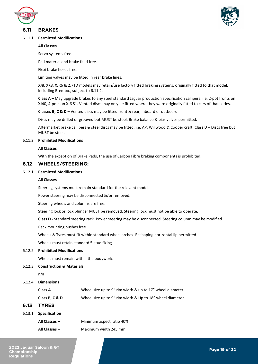



# <span id="page-18-0"></span>**6.11 BRAKES**

#### 6.11.1 **Permitted Modifications**

#### **All Classes**

Servo systems free.

Pad material and brake fluid free.

Flexi brake hoses free.

Limiting valves may be fitted in rear brake lines.

XJ8, XK8, XJR6 & 2.7TD models may retain/use factory fitted braking systems, originally fitted to that model, including Brembo., subject to 6.11.2.

**Class A –** May upgrade brakes to any steel standard Jaguar production specification callipers. i.e. 2-pot fronts on XJ40, 4-pots on XJ6 S1. Vented discs may only be fitted where they were originally fitted to cars of that series.

**Classes B, C & D –** Vented discs may be fitted front & rear, inboard or outboard.

Discs may be drilled or grooved but MUST be steel. Brake balance & bias valves permitted.

Aftermarket brake callipers & steel discs may be fitted. i.e. AP, Willwood & Cooper craft. Class D – Discs free but MUST be steel.

#### 6.11.2 **Prohibited Modifications**

#### **All Classes**

With the exception of Brake Pads, the use of Carbon Fibre braking components is prohibited.

## <span id="page-18-1"></span>**6.12 WHEELS/STEERING:**

#### 6.12.1 **Permitted Modifications**

#### **All Classes**

Steering systems must remain standard for the relevant model.

Power steering may be disconnected &/or removed.

Steering wheels and columns are free.

Steering lock or lock plunger MUST be removed. Steering lock must not be able to operate.

**Class D -** Standard steering rack. Power steering may be disconnected. Steering column may be modified.

Rack mounting bushes free.

Wheels & Tyres must fit within standard wheel arches. Reshaping horizontal lip permitted.

Wheels must retain standard 5-stud fixing.

#### 6.12.2 **Prohibited Modifications**

Wheels must remain within the bodywork.

6.12.3 **Construction & Materials**

n/a

#### 6.12.4 **Dimensions**

**Class A –** Wheel size up to 9" rim width & up to 17" wheel diameter. **Class B, C & D –** Wheel size up to 9" rim width & Up to 18" wheel diameter.

- <span id="page-18-2"></span>**6.13 TYRES**
- 6.13.1 **Specification**
	- **All Classes –** Minimum aspect ratio 40%.
	- **All Classes –** Maximum width 245 mm.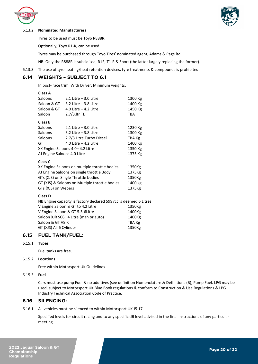



#### 6.13.2 **Nominated Manufacturers**

Tyres to be used must be Toyo R888R.

Optionally, Toyo R1-R, can be used.

Tyres may be purchased through Toyo Tires' nominated agent, Adams & Page ltd.

NB. Only the R888R is subsidised, R1R, T1-R & Sport (the latter largely replacing the former).

6.13.3 The use of tyre heating/heat retention devices, tyre treatments & compounds is prohibited.

# <span id="page-19-0"></span>**6.14 WEIGHTS – SUBJECT TO 6.1**

In post- race trim, With Driver, Minimum weights:

#### **Class A**

| Saloons                                    | $2.1$ Litre $-3.0$ Litre | 1300 Kg |
|--------------------------------------------|--------------------------|---------|
| Saloon & GT                                | $3.2$ Litre $-3.8$ Litre | 1400 Kg |
| Saloon & GT                                | 4.0 Litre $-$ 4.2 Litre  | 1450 Kg |
| Saloon                                     | $2.7/3$ . Itr TD         | TBA     |
| Class B                                    |                          |         |
| Saloons                                    | $2.1$ Litre $-3.0$ Litre | 1230 Kg |
| Saloons                                    | $3.2$ Litre $-3.8$ Litre | 1300 Kg |
| Saloons                                    | 2.7/3 Litre Turbo Diesel | TBA Kg  |
| GT                                         | 4.0 Litre $-$ 4.2 Litre  | 1400 Kg |
| XK Engine Saloons 4.0-4.2 Litre<br>1350 Kg |                          |         |
| AJ Engine Saloons 4.0 Litre                |                          | 1375 Kg |
| Class C                                    |                          |         |
|                                            |                          |         |

| XK Engine Saloons on multiple throttle bodies  | 1350Kg  |
|------------------------------------------------|---------|
| AJ Engine Saloons on single throttle Body      | 1375Kg  |
| GTs (XJS) on Single Throttle bodies            | 1350Kg  |
| GT (XJS) & Saloons on Multiple throttle bodies | 1400 kg |
| GTs (XJS) on Webers                            | 1375Kg  |

#### **Class D**

NB Engine capacity is factory declared 5997cc is deemed 6 Litres V Engine Saloon & GT to 4.2 Litre 1350Kg V Engine Saloon & GT 5.3-6Litre 1400Kg Saloon XJR SC6. 4 Litre (man or auto) 1400Kg Saloon & GT V8 R TBA Kg GT (XJS) All 6 Cylinder 1350Kg

# <span id="page-19-1"></span>**6.15 FUEL TANK/FUEL:**

#### 6.15.1 **Types**

Fuel tanks are free.

#### 6.15.2 **Locations**

Free within Motorsport UK Guidelines.

#### 6.15.3 **Fuel**

Cars must use pump Fuel & no additives (see definition Nomenclature & Definitions (B), Pump Fuel. LPG may be used, subject to Motorsport UK Blue Book regulations & conform to Construction & Use Regulations & LPG Industry Technical Association Code of Practice.

# <span id="page-19-2"></span>**6.16 SILENCING:**

6.16.1 All vehicles must be silenced to within Motorsport UK J5.17.

Specified levels for circuit racing and to any specific dB level advised in the final instructions of any particular meeting.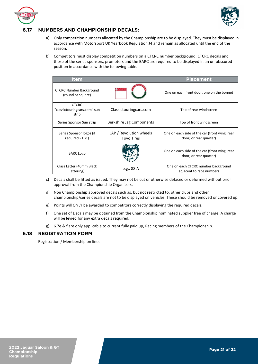



# <span id="page-20-0"></span>**6.17 NUMBERS AND CHAMPIONSHIP DECALS:**

- a) Only competition numbers allocated by the Championship are to be displayed. They must be displayed in accordance with Motorsport UK Yearbook Regulation J4 and remain as allocated until the end of the season.
- b) Competitors must display competition numbers on a CTCRC number background. CTCRC decals and those of the series sponsors, promoters and the BARC are required to be displayed in an un-obscured position in accordance with the following table.

| <b>Item</b>                                           |                                       | <b>Placement</b>                                                        |
|-------------------------------------------------------|---------------------------------------|-------------------------------------------------------------------------|
| <b>CTCRC Number Background</b><br>(round or square)   | <b>LASSIC TOURIN</b><br>AR RACING CLU | One on each front door, one on the bonnet                               |
| <b>CTCRC</b><br>"classictouringcars.com" sun<br>strip | Classictouring cars.com               | Top of rear windscreen                                                  |
| Series Sponsor Sun strip                              | Berkshire Jag Components              | Top of front windscreen                                                 |
| Series Sponsor logos (if<br>required - TBC)           | LAP / Revolution wheels<br>Toyo Tires | One on each side of the car (front wing, rear<br>door, or rear quarter) |
| <b>BARC Logo</b>                                      |                                       | One on each side of the car (front wing, rear<br>door, or rear quarter) |
| Class Letter (40mm Black<br>lettering)                | e.g., 88 A                            | One on each CTCRC number background<br>adjacent to race numbers         |

- c) Decals shall be fitted as issued. They may not be cut or otherwise defaced or deformed without prior approval from the Championship Organisers.
- d) Non Championship approved decals such as, but not restricted to, other clubs and other championship/series decals are not to be displayed on vehicles. These should be removed or covered up.
- e) Points will ONLY be awarded to competitors correctly displaying the required decals.
- f) One set of Decals may be obtained from the Championship nominated supplier free of charge. A charge will be levied for any extra decals required.
- g) 6.7e & f are only applicable to current fully paid up, Racing members of the Championship.

# <span id="page-20-1"></span>**6.18 REGISTRATION FORM**

Registration / Membership on line.